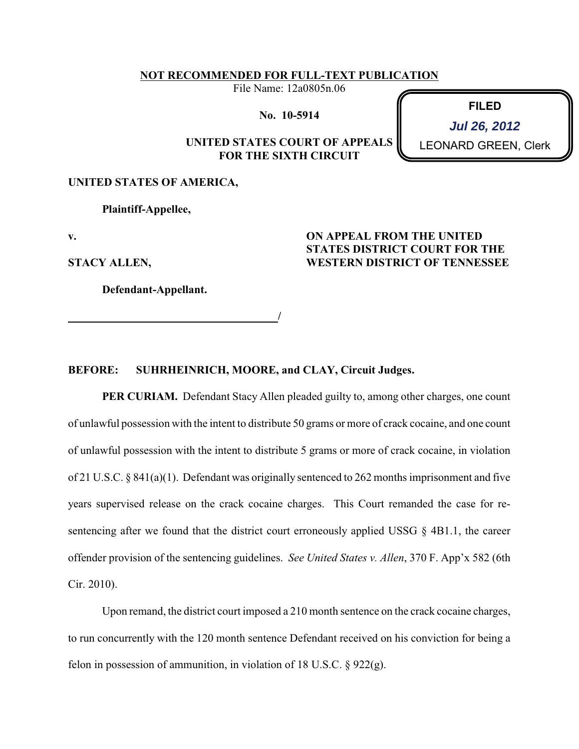### **NOT RECOMMENDED FOR FULL-TEXT PUBLICATION**

File Name: 12a0805n.06

**No. 10-5914**

## **UNITED STATES COURT OF APPEALS FOR THE SIXTH CIRCUIT**

**FILED Jul 26, 2012**

LEONARD GREEN, Clerk

# **UNITED STATES OF AMERICA,**

**Plaintiff-Appellee,**

**v.**

**STACY ALLEN,**

**Defendant-Appellant.**

 **/**

### **ON APPEAL FROM THE UNITED STATES DISTRICT COURT FOR THE WESTERN DISTRICT OF TENNESSEE**

### **BEFORE: SUHRHEINRICH, MOORE, and CLAY, Circuit Judges.**

**PER CURIAM.** Defendant Stacy Allen pleaded guilty to, among other charges, one count of unlawful possession with the intent to distribute 50 grams or more of crack cocaine, and one count of unlawful possession with the intent to distribute 5 grams or more of crack cocaine, in violation of 21 U.S.C. § 841(a)(1). Defendant was originally sentenced to 262 months imprisonment and five years supervised release on the crack cocaine charges. This Court remanded the case for resentencing after we found that the district court erroneously applied USSG  $\S$  4B1.1, the career offender provision of the sentencing guidelines. *See United States v. Allen*, 370 F. App'x 582 (6th Cir. 2010).

Upon remand, the district court imposed a 210 month sentence on the crack cocaine charges, to run concurrently with the 120 month sentence Defendant received on his conviction for being a felon in possession of ammunition, in violation of 18 U.S.C.  $\S$  922(g).